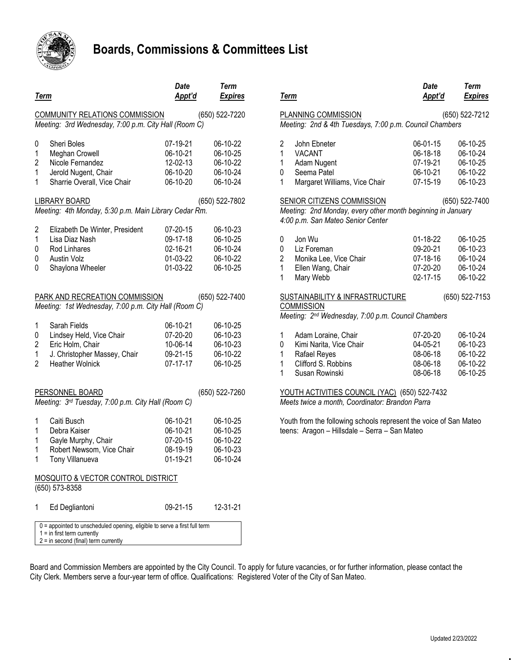

## **Boards, Commissions & Committees List**

| <b>Term</b>                                                                                              |                                                                                                                                                                                           | Date<br><u>Appt'd</u>                                          | <b>Term</b><br><b>Expires</b>                                              | <u>Term</u>                                                                                                                |  |
|----------------------------------------------------------------------------------------------------------|-------------------------------------------------------------------------------------------------------------------------------------------------------------------------------------------|----------------------------------------------------------------|----------------------------------------------------------------------------|----------------------------------------------------------------------------------------------------------------------------|--|
|                                                                                                          | COMMUNITY RELATIONS COMMISSION<br>Meeting: 3rd Wednesday, 7:00 p.m. City Hall (Room C)                                                                                                    |                                                                | (650) 522-7220                                                             | <b>PLAN</b><br>Meeti                                                                                                       |  |
| 0<br>1<br>$\overline{c}$<br>1<br>1                                                                       | Sheri Boles<br>Meghan Crowell<br>Nicole Fernandez<br>Jerold Nugent, Chair<br>Sharrie Overall, Vice Chair<br><b>LIBRARY BOARD</b><br>Meeting: 4th Monday, 5:30 p.m. Main Library Cedar Rm. | 07-19-21<br>06-10-21<br>12-02-13<br>06-10-20<br>06-10-20       | 06-10-22<br>06-10-25<br>06-10-22<br>06-10-24<br>06-10-24<br>(650) 522-7802 | 2<br>$\mathbf{1}$<br>١<br>$\mathbf{1}$<br>$\overline{1}$<br>0<br>$\mathbf{1}$<br><b>SENI</b><br>Meeti<br>4:00 <sub>1</sub> |  |
| $\overline{c}$<br>$\mathbf{1}$<br>0<br>0<br>0                                                            | Elizabeth De Winter, President<br>Lisa Diaz Nash<br>Rod Linhares<br>Austin Volz<br>Shaylona Wheeler                                                                                       | 07-20-15<br>09-17-18<br>02-16-21<br>01-03-22<br>01-03-22       | 06-10-23<br>06-10-25<br>06-10-24<br>06-10-22<br>06-10-25                   | 0<br>0<br>$\overline{\phantom{a}}$<br>$\overline{c}$<br>$\mathbf{1}$<br>$\mathbf{1}$                                       |  |
| PARK AND RECREATION COMMISSION<br>(650) 522-7400<br>Meeting: 1st Wednesday, 7:00 p.m. City Hall (Room C) |                                                                                                                                                                                           |                                                                |                                                                            |                                                                                                                            |  |
| 1<br>0<br>$\boldsymbol{2}$<br>1<br>$\overline{2}$                                                        | Sarah Fields<br>Lindsey Held, Vice Chair<br>Eric Holm, Chair<br>J. Christopher Massey, Chair<br><b>Heather Wolnick</b>                                                                    | 06-10-21<br>07-20-20<br>10-06-14<br>09-21-15<br>$07 - 17 - 17$ | 06-10-25<br>06-10-23<br>06-10-23<br>06-10-22<br>06-10-25                   | Meeti<br>1<br>$\prime$<br>0<br>$\mathbf{I}$<br>1<br>I<br>$\mathbf{1}$<br>$\mathbf{1}$                                      |  |
|                                                                                                          | (650) 522-7260<br>PERSONNEL BOARD<br>Meeting: 3rd Tuesday, 7:00 p.m. City Hall (Room C)                                                                                                   |                                                                |                                                                            |                                                                                                                            |  |
| 1<br>$\mathbf{1}$<br>1<br>1<br>1                                                                         | Caiti Busch<br>Debra Kaiser<br>Gayle Murphy, Chair<br>Robert Newsom, Vice Chair<br>Tony Villanueva<br>MOSQUITO & VECTOR CONTROL DISTRICT<br>(650) 573-8358                                | 06-10-21<br>06-10-21<br>07-20-15<br>08-19-19<br>01-19-21       | 06-10-25<br>06-10-25<br>06-10-22<br>06-10-23<br>06-10-24                   | Youth<br>teens                                                                                                             |  |
| 1                                                                                                        | Ed Degliantoni                                                                                                                                                                            | 09-21-15                                                       | 12-31-21                                                                   |                                                                                                                            |  |
|                                                                                                          | 0 = appointed to unscheduled opening, eligible to serve a first full term<br>$1 =$ in first term currently<br>$2 = in second (final) term currently$                                      |                                                                |                                                                            |                                                                                                                            |  |

| Term                                                                                                                                                                                                                                 | <b>Date</b><br>Appt'd                                      | Term<br><b>Expires</b>                                   |  |  |  |  |
|--------------------------------------------------------------------------------------------------------------------------------------------------------------------------------------------------------------------------------------|------------------------------------------------------------|----------------------------------------------------------|--|--|--|--|
| (650) 522-7212<br>PLANNING COMMISSION                                                                                                                                                                                                |                                                            |                                                          |  |  |  |  |
| Meeting: 2nd & 4th Tuesdays, 7:00 p.m. Council Chambers                                                                                                                                                                              |                                                            |                                                          |  |  |  |  |
| $\overline{c}$<br>John Ebneter<br>$\overline{1}$<br><b>VACANT</b><br>1<br>Adam Nugent<br>0<br>Seema Patel<br>1<br>Margaret Williams, Vice Chair                                                                                      | 06-01-15<br>06-18-18<br>07-19-21<br>06-10-21<br>07-15-19   | 06-10-25<br>06-10-24<br>06-10-25<br>06-10-22<br>06-10-23 |  |  |  |  |
| SENIOR CITIZENS COMMISSION<br>(650) 522-7400<br>Meeting: 2nd Monday, every other month beginning in January<br>4:00 p.m. San Mateo Senior Center                                                                                     |                                                            |                                                          |  |  |  |  |
| Jon Wu<br>0<br>0<br>Liz Foreman<br>$\overline{\mathbf{c}}$<br>Monika Lee, Vice Chair<br>$\overline{1}$<br>Ellen Wang, Chair<br>1<br>Mary Webb                                                                                        | 01-18-22<br>09-20-21<br>$07-18-16$<br>07-20-20<br>02-17-15 | 06-10-25<br>06-10-23<br>06-10-24<br>06-10-24<br>06-10-22 |  |  |  |  |
| SUSTAINABILITY & INFRASTRUCTURE<br>(650) 522-7153<br><b>COMMISSION</b><br>Meeting: 2nd Wednesday, 7:00 p.m. Council Chambers                                                                                                         |                                                            |                                                          |  |  |  |  |
| 1<br>Adam Loraine, Chair<br>Kimi Narita, Vice Chair<br>0<br>Rafael Reyes<br>1<br>Clifford S. Robbins<br>1<br>1<br>Susan Rowinski<br>YOUTH ACTIVITIES COUNCIL (YAC) (650) 522-7432<br>Meets twice a month, Coordinator: Brandon Parra | 07-20-20<br>04-05-21<br>08-06-18<br>08-06-18<br>08-06-18   | 06-10-24<br>06-10-23<br>06-10-22<br>06-10-22<br>06-10-25 |  |  |  |  |

Youth from the following schools represent the voice of San Mateo teens: Aragon – Hillsdale – Serra – San Mateo

Board and Commission Members are appointed by the City Council. To apply for future vacancies, or for further information, please contact the City Clerk. Members serve a four-year term of office. Qualifications: Registered Voter of the City of San Mateo.